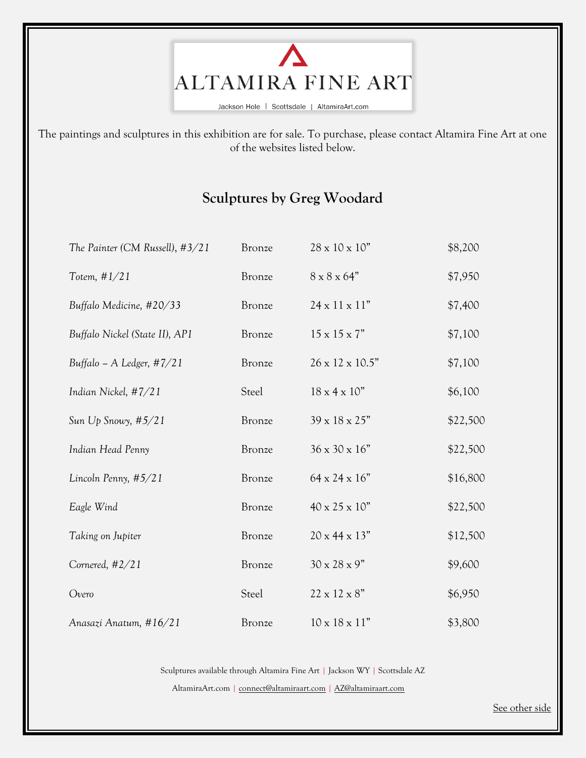

Jackson Hole | Scottsdale | AltamiraArt.com

The paintings and sculptures in this exhibition are for sale. To purchase, please contact Altamira Fine Art at one of the websites listed below.

## **Sculptures by Greg Woodard**

| The Painter (CM Russell), #3/21 | <b>Bronze</b> | 28 x 10 x 10"             | \$8,200  |
|---------------------------------|---------------|---------------------------|----------|
| Totem, $#1/21$                  | Bronze        | $8 \times 8 \times 64"$   | \$7,950  |
| Buffalo Medicine, #20/33        | <b>Bronze</b> | $24 \times 11 \times 11"$ | \$7,400  |
| Buffalo Nickel (State II), AP1  | <b>Bronze</b> | $15 \times 15 \times 7"$  | \$7,100  |
| Buffalo – A Ledger, $\#7/21$    | <b>Bronze</b> | 26 x 12 x 10.5"           | \$7,100  |
| Indian Nickel, $\#7/21$         | Steel         | $18 \times 4 \times 10$ " | \$6,100  |
| Sun $Up$ Snowy, $#5/21$         | <b>Bronze</b> | 39 x 18 x 25"             | \$22,500 |
| Indian Head Penny               | <b>Bronze</b> | 36 x 30 x 16"             | \$22,500 |
| Lincoln Penny, #5/21            | <b>Bronze</b> | $64 \times 24 \times 16"$ | \$16,800 |
| Eagle Wind                      | <b>Bronze</b> | 40 x 25 x 10"             | \$22,500 |
| Taking on Jupiter               | Bronze        | $20 \times 44 \times 13"$ | \$12,500 |
| Cornered, #2/21                 | <b>Bronze</b> | $30 \times 28 \times 9"$  | \$9,600  |
| Overo                           | Steel         | $22 \times 12 \times 8"$  | \$6,950  |
| Anasazi Anatum, #16/21          | <b>Bronze</b> | $10 \times 18 \times 11"$ | \$3,800  |

Sculptures available through Altamira Fine Art | Jackson WY | Scottsdale AZ

AltamiraArt.com [| connect@altamiraart.com](mailto:connect@altamiraart.com) [| AZ@altamiraart.com](mailto:AZ@altamiraart.com)

See other side